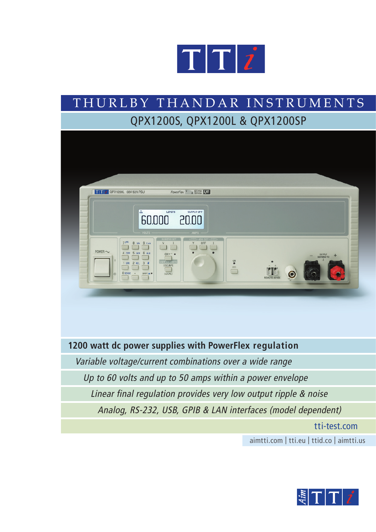

# T H U R L B Y T H A N D A R I N S T R U M E N T S QPX1200S, QPX1200L & QPX1200SP



## **1200 watt dc power supplies with PowerFlex regulation**

Variable voltage/current combinations over a wide range

Up to 60 volts and up to 50 amps within a power envelope

Linear final regulation provides very low output ripple & noise

Analog, RS-232, USB, GPIB & LAN interfaces (model dependent)

tti-test.com

aimtti.com | tti.eu | ttid.co | aimtti.us

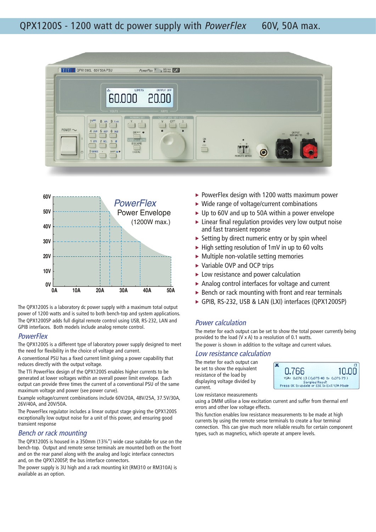



The QPX1200S is a laboratory dc power supply with a maximum total output power of 1200 watts and is suited to both bench-top and system applications. The QPX1200SP adds full digital remote control using USB, RS-232, LAN and GPIB interfaces. Both models include analog remote control.

### **PowerFlex**

The QPX1200S is a different type of laboratory power supply designed to meet the need for flexibility in the choice of voltage and current.

A conventional PSU has a fixed current limit giving a power capability that reduces directly with the output voltage.

The TTi PowerFlex design of the QPX1200S enables higher currents to be generated at lower voltages within an overall power limit envelope. Each output can provide three times the current of a conventional PSU of the same maximum voltage and power (see power curve).

Example voltage/current combinations include 60V/20A, 48V/25A, 37.5V/30A, 26V/40A, and 20V/50A.

The PowerFlex regulator includes a linear output stage giving the QPX1200S exceptionally low output noise for a unit of this power, and ensuring good transient response

### Bench or rack mounting

The QPX1200S is housed in a 350mm (13¾") wide case suitable for use on the bench-top. Output and remote sense terminals are mounted both on the front and on the rear panel along with the analog and logic interface connectors and, on the QPX1200SP, the bus interface connectors.

The power supply is 3U high and a rack mounting kit (RM310 or RM310A) is available as an option.

- $\triangleright$  PowerFlex design with 1200 watts maximum power
- ▶ Wide range of voltage/current combinations
- ► Up to 60V and up to 50A within a power envelope
- $\blacktriangleright$  Linear final regulation provides very low output noise and fast transient reponse
- $\triangleright$  Setting by direct numeric entry or by spin wheel
- $\blacktriangleright$  High setting resolution of 1mV in up to 60 volts
- Multiple non-volatile setting memories
- ▶ Variable OVP and OCP trips
- ► Low resistance and power calculation
- ▶ Analog control interfaces for voltage and current
- ▶ Bench or rack mounting with front and rear terminals
- GPIB, RS-232, USB & LAN (LXI) interfaces (QPX1200SP)

### Power calculation

The meter for each output can be set to show the total power currently being provided to the load (V x A) to a resolution of 0.1 watts.

The power is shown in addition to the voltage and current values.

### Low resistance calculation

The meter for each output can be set to show the equivalent resistance of the load by displaying voltage divided by current.



Low resistance measurements using a DMM utilise a low excitation current and suffer from thermal emf errors and other low voltage effects.

This function enables low resistance measurements to be made at high currents by using the remote sense terminals to create a four terminal connection. This can give much more reliable results for certain component types, such as magnetics, which operate at ampere levels.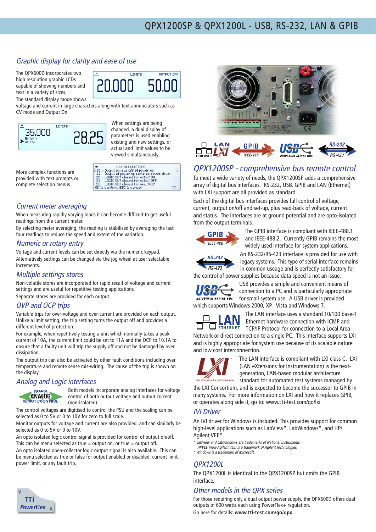### Graphic display for clarity and ease of use

The QPX600D incorporates two high resolution graphic LCDs capable of showing numbers and text in a variety of sizes.

The standard display mode shows voltage and current in large characters along with text annunciators such as

CV mode and Output On.



When settings are being changed, a dual display of parameters is used enabling existing and new settings, or actual and limit values to be viewed simultaneously.

**LIMITS** 

OUTPUT OFF

More complex functions are provided with text prompts or complete selection menus.

| #<br><b>EXTRA FUNCTIONS</b>                |  |
|--------------------------------------------|--|
| $[10 \times$ Output always off at power up |  |
| 11 Output at power up same as power down   |  |
| 20 - LOGIC OUT closed for output ON        |  |
| 21 LOGIC OUT closed for output OFF         |  |
| 22 LOGIC OUT closed for any TRIP           |  |
| OK to confirm, ESC to cancel               |  |

### Current meter averaging

When measuring rapidly varying loads it can become difficult to get useful readings from the current meter.

By selecting meter averaging, the reading is stabilised by averaging the last four readings to reduce the speed and extent of the variation.

### Numeric or rotary entry

Voltage and current levels can be set directly via the numeric keypad. Alternatively settings can be changed via the jog wheel at user selectable increments.

### Multiple settings stores

Non-volatile stores are incorporated for rapid recall of voltage and current settings and are useful for repetitive testing applications. Separate stores are provided for each output.

### OVP and OCP trips

Variable trips for over-voltage and over-current are provided on each output. Unlike a limit setting, the trip setting turns the output off and provides a different level of protection.

For example, when repetitively testing a unit which normally takes a peak current of 10A, the current limit could be set to 11A and the OCP to 10.1A to ensure that a faulty unit will trip the supply off and not be damaged by over dissipation.

The output trip can also be activated by other fault conditions including over temperature and remote sense mis-wiring. The cause of the trip is shown on the display.

### Analog and Logic interfaces



Both models incorporate analog interfaces for voltage control of both output voltage and output current (non-isolated).

The control voltages are digitised to control the PSU and the scaling can be selected as 0 to 5V or 0 to 10V for zero to full scale.

Monitor outputs for voltage and current are also provided, and can similarly be selected as 0 to 5V or 0 to 10V.

An opto isolated logic control signal is provided for control of output on/off. This can be menu selected as true  $=$  output on, or true  $=$  output off. An opto isolated open-collector logic output signal is also available. This can be menu selected as true or false for output enabled or disabled, current limit, power limit, or any fault trip.





### QPX1200SP - comprehensive bus remote control

To meet a wide variety of needs, the QPX1200SP adds a comprehensive array of digital bus interfaces. RS-232, USB, GPIB and LAN (Ethernet) with LXI support are all provided as standard.

Each of the digital bus interfaces provides full control of voltage, current, output on/off and set-up, plus read-back of voltage, current and status. The interfaces are at ground potential and are opto-isolated from the output terminals.



The GPIB interface is compliant with IEEE-488.1 and IEEE-488.2. Currently GPIB remains the most widely used interface for system applications.



An RS-232/RS-423 interface is provided for use with legacy systems. This type of serial interface remains in common useage and is perfectly satisfactory for

the control of power supplies because data speed is not an issue.



USB provides a simple and convenient means of connection to a PC and is particularly appropriate for small system use. A USB driver is provided which supports Windows 2000, XP , Vista and Windows 7.



The LAN interface uses a standard 10/100 base-T  $\mathbf{A} \mathbf{N}$  Ethernet hardware connection with ICMP and **J** ETHERNET TCP/IP Protocol for connection to a Local Area

Network or direct connection to a single PC. This interface supports LXI and is highly appropriate for system use because of its scalable nature and low cost interconnection.



The LAN interface is compliant with LXI class C. LXI (LAN eXtensions for Instrumentation) is the nextgeneration, LAN-based modular architecture standard for automated test systems managed by

the LXI Consortium, and is expected to become the successor to GPIB in many systems. For more information on LXI and how it replaces GPIB, or operates along side it, go to: www.tti-test.com/go/lxi

### IVI Driver

An IVI driver for Windows is included. This provides support for common high-level applications such as LabView\*, LabWindows\*, and HP/ Agilent VEE\*.

\* LabView and LabWindows are trademarks of National Instruments.

 HPVEE (now Agilent VEE) is a trademark of Agilent Technologies. \* Windows is a trademark of Microsoft.

### QPX1200L

The QPX1200L is identical to the QPX1200SP but omits the GPIB interface.

### Other models in the QPX series

For those requiring only a dual output power supply, the QPX600D offers dual outputs of 600 watts each using PowerFlex+ regulation. Go here for details: **www.tti-test.com/go/qpx**